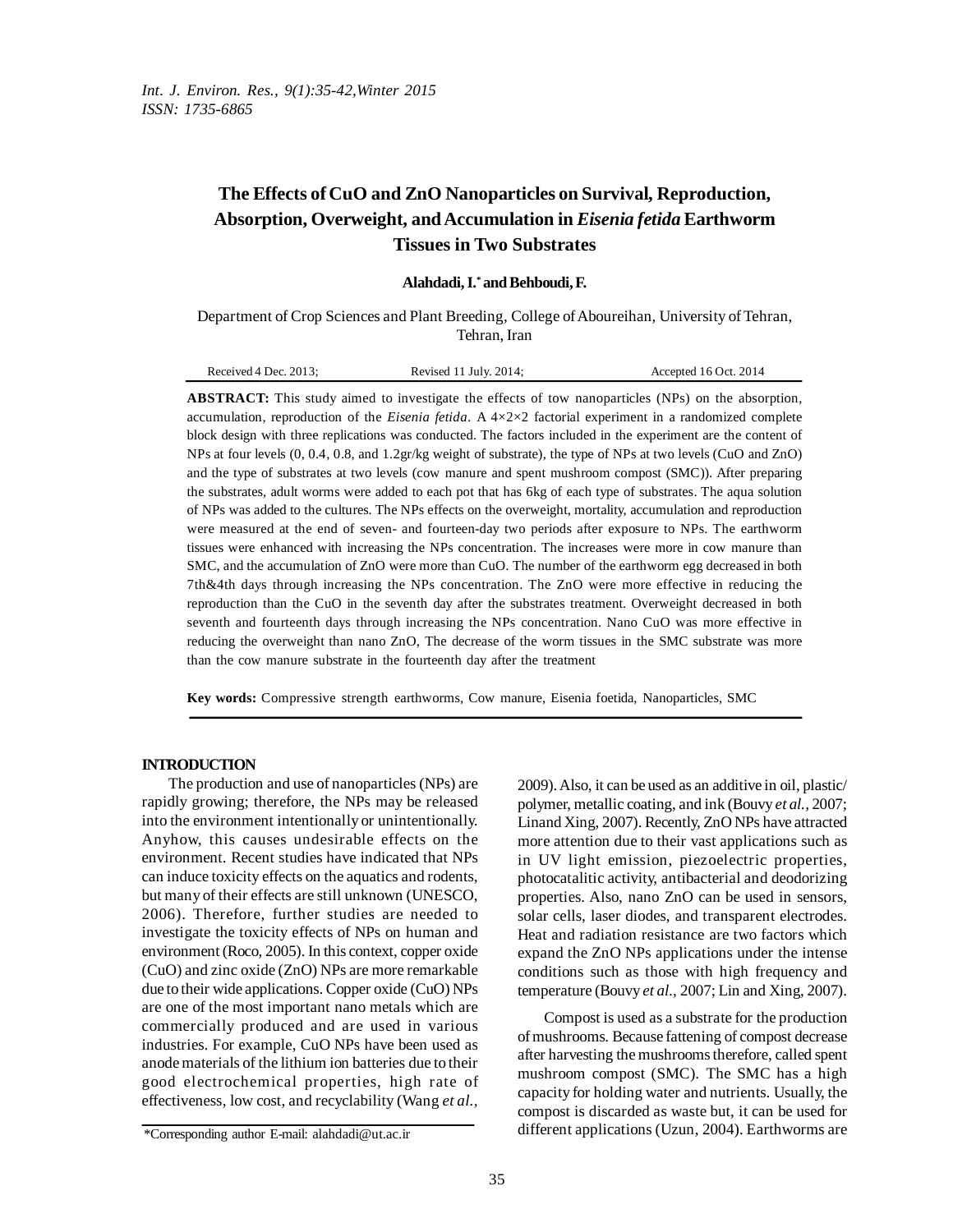# **The Effects of CuO and ZnO Nanoparticles on Survival, Reproduction, Absorption, Overweight, and Accumulation in** *Eisenia fetida* **Earthworm Tissues in Two Substrates**

#### **Alahdadi,I. \* andBehboudi,F.**

Department of Crop Sciences and Plant Breeding, College of Aboureihan, University of Tehran, Tehran, Iran

|--|

**ABSTRACT:** This study aimed to investigate the effects of tow nanoparticles (NPs) on the absorption, accumulation, reproduction of the *Eisenia fetida.* A 4×2×2 factorial experiment in a randomized complete block design with three replications was conducted. The factors included in the experiment are the content of NPs at four levels (0, 0.4, 0.8, and 1.2gr/kg weight of substrate), the type of NPs at two levels (CuO and ZnO) and the type of substrates at two levels (cow manure and spent mushroom compost (SMC)). After preparing the substrates, adult worms were added to each pot that has 6kg of each type of substrates. The aqua solution of NPs was added to the cultures. The NPs effects on the overweight, mortality, accumulation and reproduction were measured at the end of seven- and fourteen-day two periods after exposure to NPs. The earthworm tissues were enhanced with increasing the NPs concentration. The increases were more in cow manure than SMC, and the accumulation of ZnO were more than CuO. The number of the earthworm egg decreased in both 7th&4th days through increasing the NPs concentration. The ZnO were more effective in reducing the reproduction than the CuO in the seventh day after the substrates treatment. Overweight decreased in both seventh and fourteenth days through increasing the NPs concentration. Nano CuO was more effective in reducing the overweight than nano ZnO, The decrease of the worm tissues in the SMC substrate was more than the cow manure substrate in the fourteenth day after the treatment

**Key words:** Compressive strength earthworms, Cow manure, Eisenia foetida, Nanoparticles, SMC

#### **INTRODUCTION**

The production and use of nanoparticles (NPs) are rapidly growing; therefore, the NPs may be released into the environment intentionally or unintentionally. Anyhow, this causes undesirable effects on the environment. Recent studies have indicated that NPs can induce toxicity effects on the aquatics and rodents, but many of their effects are still unknown (UNESCO, 2006). Therefore, further studies are needed to investigate the toxicity effects of NPs on human and environment (Roco, 2005). In this context, copper oxide (CuO) and zinc oxide (ZnO) NPs are more remarkable due to their wide applications. Copper oxide (CuO) NPs are one of the most important nano metals which are commercially produced and are used in various industries. For example, CuO NPs have been used as anodematerials of the lithium ion batteries due to their good electrochemical properties, high rate of effectiveness, low cost, and recyclability (Wang *et al.,*

2009).Also, it can be used as an additive in oil, plastic/ polymer, metallic coating, and ink (Bouvy *et al.,* 2007; Linand Xing, 2007). Recently, ZnO NPs have attracted more attention due to their vast applications such as in UV light emission, piezoelectric properties, photocatalitic activity, antibacterial and deodorizing properties. Also, nano ZnO can be used in sensors, solar cells, laser diodes, and transparent electrodes. Heat and radiation resistance are two factors which expand the ZnO NPs applications under the intense conditions such as those with high frequency and temperature (Bouvy *et al.,* 2007; Lin and Xing, 2007).

Compost is used as a substrate for the production ofmushrooms. Because fattening of compost decrease after harvesting the mushrooms therefore, called spent mushroom compost (SMC). The SMC has a high capacity for holding water and nutrients. Usually, the compost is discarded as waste but, it can be used for different applications (Uzun, 2004). Earthworms are

<sup>\*</sup>Corresponding author E-mail: alahdadi@ut.ac.ir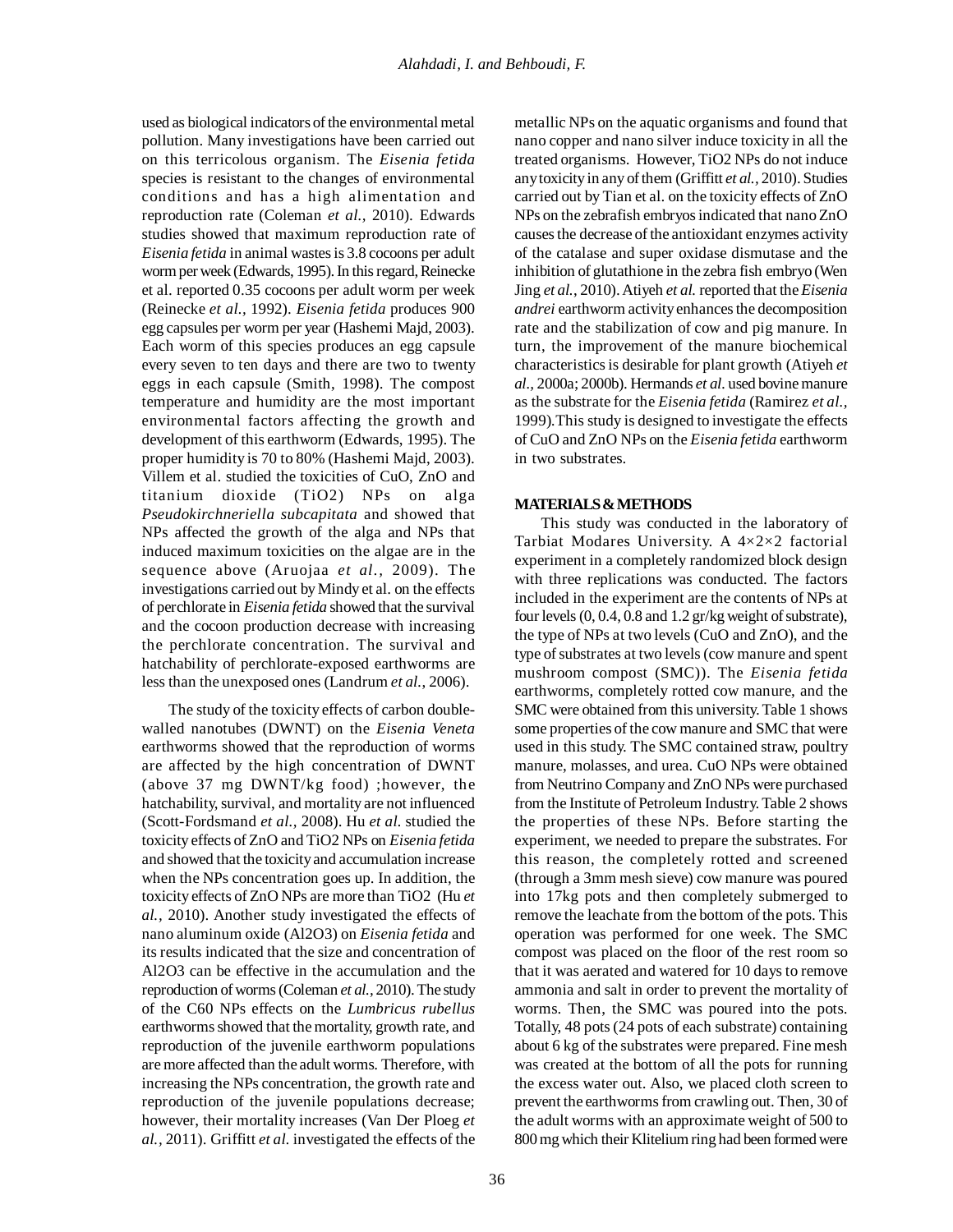used as biological indicators of the environmental metal pollution. Many investigations have been carried out on this terricolous organism. The *Eisenia fetida* species is resistant to the changes of environmental conditions and has a high alimentation and reproduction rate (Coleman *et al.,* 2010). Edwards studies showed that maximum reproduction rate of *Eisenia fetida* in animal wastesis 3.8 cocoons per adult worm per week (Edwards, 1995). In this regard, Reinecke et al. reported 0.35 cocoons per adult worm per week (Reinecke *et al.,* 1992). *Eisenia fetida* produces 900 egg capsules per worm per year (Hashemi Majd, 2003). Each worm of this species produces an egg capsule every seven to ten days and there are two to twenty eggs in each capsule (Smith, 1998). The compost temperature and humidity are the most important environmental factors affecting the growth and development of this earthworm (Edwards, 1995). The proper humidity is 70 to 80% (Hashemi Majd, 2003). Villem et al. studied the toxicities of CuO, ZnO and titanium dioxide (TiO2) NPs on alga *Pseudokirchneriella subcapitata* and showed that NPs affected the growth of the alga and NPs that induced maximum toxicities on the algae are in the sequence above (Aruojaa *et al.,* 2009). The investigations carried out byMindy et al. on the effects of perchlorate in *Eisenia fetida* showed that the survival and the cocoon production decrease with increasing the perchlorate concentration. The survival and hatchability of perchlorate-exposed earthworms are less than the unexposed ones (Landrum *et al.*, 2006).

The study of the toxicity effects of carbon doublewalled nanotubes (DWNT) on the *Eisenia Veneta* earthworms showed that the reproduction of worms are affected by the high concentration of DWNT (above 37 mg DWNT/kg food) ;however, the hatchability, survival, and mortality are not influenced (Scott-Fordsmand *et al.,* 2008). Hu *et al.* studied the toxicity effects of ZnO and TiO2 NPs on *Eisenia fetida* and showed that the toxicityand accumulation increase when the NPs concentration goes up. In addition, the toxicity effects of ZnO NPs are more than TiO2 (Hu *et al.,* 2010). Another study investigated the effects of nano aluminum oxide (Al2O3) on *Eisenia fetida* and its results indicated that the size and concentration of Al2O3 can be effective in the accumulation and the reproduction of worms (Coleman *et al.*, 2010). The study of the C60 NPs effects on the *Lumbricus rubellus* earthworms showed that the mortality, growth rate, and reproduction of the juvenile earthworm populations aremore affected than the adult worms. Therefore, with increasing the NPs concentration, the growth rate and reproduction of the juvenile populations decrease; however, their mortality increases (Van Der Ploeg *et al.,* 2011). Griffitt *et al.* investigated the effects of the metallic NPs on the aquatic organisms and found that nano copper and nano silver induce toxicity in all the treated organisms. However, TiO2 NPs do not induce any toxicity in any of them (Griffitt et al., 2010). Studies carried out by Tian et al. on the toxicity effects of ZnO NPs on the zebrafish embryos indicated that nano ZnO causesthe decrease of the antioxidant enzymes activity of the catalase and super oxidase dismutase and the inhibition of glutathione in the zebra fish embryo (Wen Jing *et al.*, 2010).Atiyeh *et al.* reported that the*Eisenia andrei* earthworm activity enhances the decomposition rate and the stabilization of cow and pig manure. In turn, the improvement of the manure biochemical characteristicsis desirable for plant growth (Atiyeh *et al.,* 2000a; 2000b). Hermands *et al.* used bovinemanure as the substrate for the *Eisenia fetida* (Ramirez *et al.,* 1999)*.*This study is designed to investigate the effects of CuO and ZnO NPs on the *Eisenia fetida* earthworm in two substrates.

### **MATERIALS&METHODS**

This study was conducted in the laboratory of Tarbiat Modares University. A 4×2×2 factorial experiment in a completely randomized block design with three replications was conducted. The factors included in the experiment are the contents of NPs at four levels  $(0, 0.4, 0.8$  and  $1.2$  gr/kg weight of substrate), the type of NPs at two levels (CuO and ZnO), and the type of substrates at two levels (cow manure and spent mushroom compost (SMC)). The *Eisenia fetida* earthworms, completely rotted cow manure, and the SMC were obtained from this university. Table 1 shows some properties of the cow manure and SMC that were used in this study. The SMC contained straw, poultry manure, molasses, and urea. CuO NPs were obtained from Neutrino Company and ZnO NPs were purchased from the Institute of Petroleum Industry. Table 2 shows the properties of these NPs. Before starting the experiment, we needed to prepare the substrates. For this reason, the completely rotted and screened (through a 3mm mesh sieve) cow manure was poured into 17kg pots and then completely submerged to remove the leachate from the bottom of the pots. This operation was performed for one week. The SMC compost was placed on the floor of the rest room so that it was aerated and watered for 10 days to remove ammonia and salt in order to prevent the mortality of worms. Then, the SMC was poured into the pots. Totally, 48 pots(24 pots of each substrate) containing about 6 kg of the substrates were prepared. Fine mesh was created at the bottom of all the pots for running the excess water out. Also, we placed cloth screen to prevent the earthworms from crawling out. Then, 30 of the adult worms with an approximate weight of 500 to 800 mg which their Klitelium ring had been formed were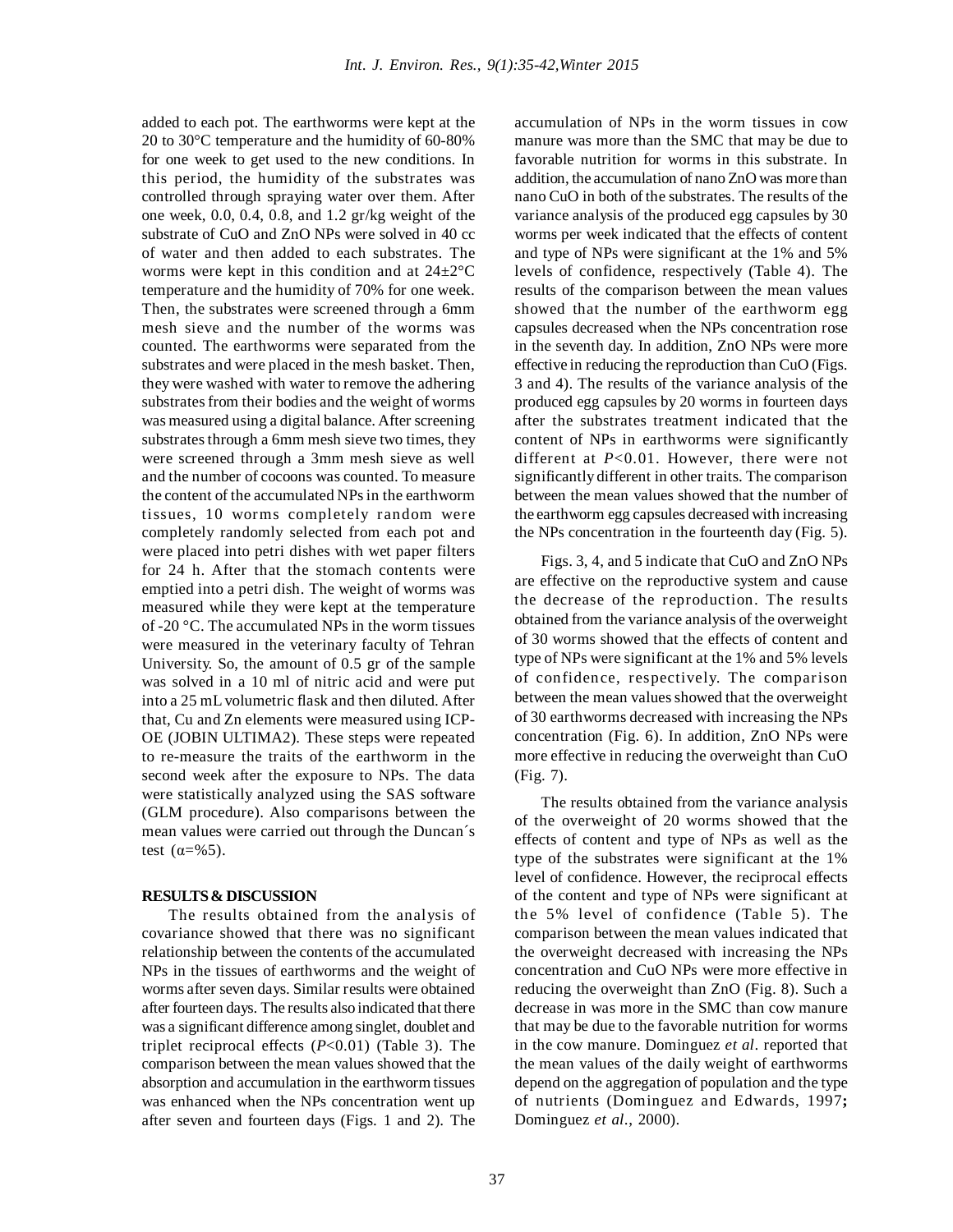added to each pot. The earthworms were kept at the 20 to 30°C temperature and the humidity of 60-80% for one week to get used to the new conditions. In this period, the humidity of the substrates was controlled through spraying water over them. After one week, 0.0, 0.4, 0.8, and 1.2 gr/kg weight of the substrate of CuO and ZnO NPs were solved in 40 cc of water and then added to each substrates. The worms were kept in this condition and at 24±2°C temperature and the humidity of 70% for one week. Then, the substrates were screened through a 6mm mesh sieve and the number of the worms was counted. The earthworms were separated from the substrates and were placed in the mesh basket. Then, they were washed with water to remove the adhering substrates from their bodies and the weight of worms was measured using a digital balance. After screening substrates through a 6mm mesh sieve two times, they were screened through a 3mm mesh sieve as well and the number of cocoons was counted. To measure the content of the accumulated NPs in the earthworm tissues, 10 worms completely random were completely randomly selected from each pot and were placed into petri dishes with wet paper filters for 24 h. After that the stomach contents were emptied into a petri dish. The weight of worms was measured while they were kept at the temperature of -20 °C. The accumulated NPs in the worm tissues were measured in the veterinary faculty of Tehran University. So, the amount of 0.5 gr of the sample was solved in a 10 ml of nitric acid and were put into a 25 mLvolumetric flask and then diluted. After that, Cu and Zn elements were measured using ICP-OE (JOBIN ULTIMA2). These steps were repeated to re-measure the traits of the earthworm in the second week after the exposure to NPs. The data were statistically analyzed using the SAS software (GLM procedure). Also comparisons between the mean values were carried out through the Duncan´s test  $(\alpha = 965)$ .

#### **RESULTS& DISCUSSION**

The results obtained from the analysis of covariance showed that there was no significant relationship between the contents of the accumulated NPs in the tissues of earthworms and the weight of worms after seven days. Similar results were obtained after fourteen days. The results also indicated that there was a significant difference among singlet, doublet and triplet reciprocal effects (*P*<0.01) (Table 3). The comparison between the mean values showed that the absorption and accumulation in the earthworm tissues was enhanced when the NPs concentration went up after seven and fourteen days (Figs. 1 and 2). The accumulation of NPs in the worm tissues in cow manure was more than the SMC that may be due to favorable nutrition for worms in this substrate. In addition, the accumulation of nano ZnO was more than nano CuO in both of the substrates. The results of the variance analysis of the produced egg capsules by 30 worms per week indicated that the effects of content and type of NPs were significant at the 1% and 5% levels of confidence, respectively (Table 4). The results of the comparison between the mean values showed that the number of the earthworm egg capsules decreased when the NPs concentration rose in the seventh day. In addition, ZnO NPs were more effective in reducing the reproduction than CuO (Figs. 3 and 4). The results of the variance analysis of the produced egg capsules by 20 worms in fourteen days after the substrates treatment indicated that the content of NPs in earthworms were significantly different at *P*<0.01. However, there were not significantly different in other traits. The comparison between the mean values showed that the number of the earthworm egg capsules decreased with increasing the NPs concentration in the fourteenth day (Fig. 5).

Figs. 3, 4, and 5 indicate that CuO and ZnO NPs are effective on the reproductive system and cause the decrease of the reproduction. The results obtained from the variance analysis of the overweight of 30 worms showed that the effects of content and type of NPs were significant at the 1% and 5% levels of confidence, respectively. The comparison between the mean values showed that the overweight of 30 earthworms decreased with increasing the NPs concentration (Fig. 6). In addition, ZnO NPs were more effective in reducing the overweight than CuO (Fig. 7).

The results obtained from the variance analysis of the overweight of 20 worms showed that the effects of content and type of NPs as well as the type of the substrates were significant at the 1% level of confidence. However, the reciprocal effects of the content and type of NPs were significant at the 5% level of confidence (Table 5). The comparison between the mean values indicated that the overweight decreased with increasing the NPs concentration and CuO NPs were more effective in reducing the overweight than ZnO (Fig. 8). Such a decrease in was more in the SMC than cow manure that may be due to the favorable nutrition for worms in the cow manure. Dominguez *et al*. reported that the mean values of the daily weight of earthworms depend on the aggregation of population and the type of nutrients (Dominguez and Edwards, 1997**;** Dominguez *et al*., 2000).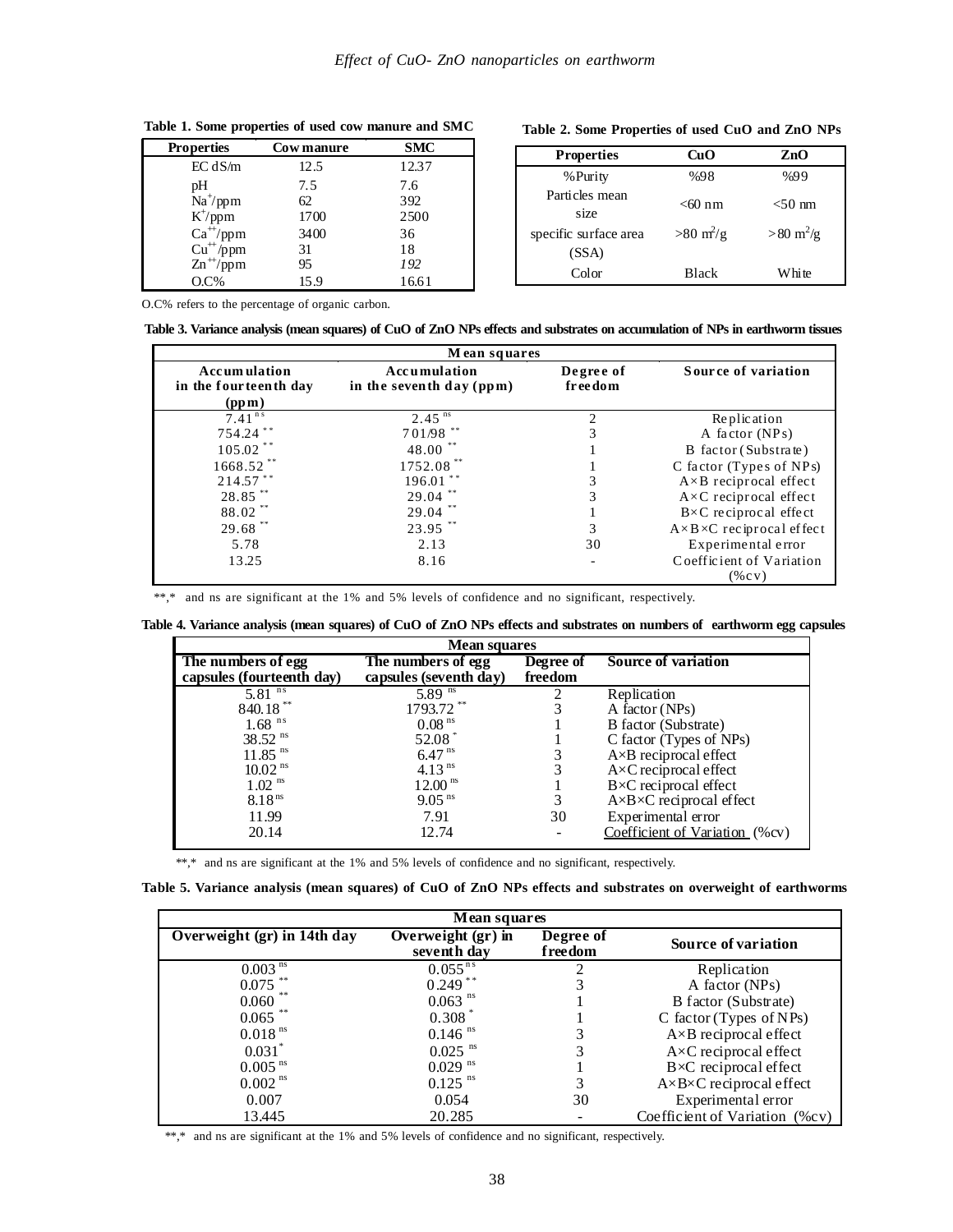| <b>Properties</b> | <b>Cowmanure</b> | <b>SMC</b> |
|-------------------|------------------|------------|
| EC dS/m           | 12.5             | 12.37      |
| pH                | 7.5              | 7.6        |
| $Na^{+}/ppm$      | 62               | 392        |
| $K^{\dagger}/ppm$ | 1700             | 2500       |
| $Ca^{+}/ppm$      | 3400             | 36         |
| $Cu^{+}/ppm$      | 31               | 18         |
| $Zn^{+}/ppm$      | 95               | 192        |
| $O.C\%$           | 15.9             | 16.61      |

## **Table 2. Some Properties of used CuO and ZnO NPs**

| <b>Properties</b>      | CuO                               | ZnO                        |
|------------------------|-----------------------------------|----------------------------|
| % Purity               | %98                               | %99                        |
| Particles mean<br>size | $<$ 60 nm                         | $<$ 50 nm                  |
| specific surface area  | $>80 \frac{\text{m}^2}{\text{g}}$ | $>80 \text{ m}^2/\text{g}$ |
| (SSA)                  |                                   |                            |
| Color                  | <b>Black</b>                      | White                      |

O.C% refers to the percentage of organic carbon.

|  |  |  |  |  | Table 3. Variance analysis (mean squares) of CuO of ZnO NPs effects and substrates on accumulation of NPs in earthworm tissues |
|--|--|--|--|--|--------------------------------------------------------------------------------------------------------------------------------|
|--|--|--|--|--|--------------------------------------------------------------------------------------------------------------------------------|

| Mean squares                                          |                                            |                        |                                         |
|-------------------------------------------------------|--------------------------------------------|------------------------|-----------------------------------------|
| <b>Accumulation</b><br>in the fourteenth day<br>(ppm) | Accumulation<br>in the seventh day $(ppm)$ | Degree of<br>fr ee dom | Source of variation                     |
| $7.41$ <sup>ns</sup>                                  | $2.45^{\overline{ns}}$                     | 2                      | Replication                             |
| 754.24**                                              | 701/98 **                                  | 3                      | A factor (NPs)                          |
| 105.02**                                              | 48.00                                      |                        | B factor (Substrate)                    |
| 1668.52                                               | 1752.08                                    |                        | C factor (Types of $NPs$ )              |
| 214.57**                                              | $196.01$ **                                | 3                      | $A \times B$ reciprocal effect          |
| 28.85**                                               | $29.04$ **                                 | 3                      | $A \times C$ reciprocal effect          |
| 88.02**                                               | 29.04                                      |                        | $B \times C$ reciprocal effect          |
| $29.68$ **                                            | 23.95**                                    | 3                      | $A \times B \times C$ reciprocal effect |
| 5.78                                                  | 2.13                                       | 30                     | Experimental error                      |
| 13.25                                                 | 8.16                                       |                        | Coefficient of Variation                |
|                                                       |                                            |                        | $(\%$ CV)                               |

\*\*,\* and ns are significant at the 1% and 5% levels of confidence and no significant, respectively.

Table 4. Variance analysis (mean squares) of CuO of ZnO NPs effects and substrates on numbers of earthworm egg capsules

| <b>Mean squares</b>       |                        |           |                                         |  |
|---------------------------|------------------------|-----------|-----------------------------------------|--|
| The numbers of egg        | The numbers of egg     | Degree of | Source of variation                     |  |
| capsules (fourteenth day) | capsules (seventh day) | freedom   |                                         |  |
| $5.81$ <sup>ns</sup>      | $5.89$ <sup>ns</sup>   |           | Replication                             |  |
| 840.18**                  | 1793.72**              |           | A factor $(NPs)$                        |  |
| $1.68$ <sup>ns</sup>      | $0.08$ <sup>ns</sup>   |           | B factor (Substrate)                    |  |
| $38.52$ <sup>ns</sup>     | 52.08                  |           | C factor (Types of NPs)                 |  |
| $11.85$ <sup>ns</sup>     | $6.47^{ns}$            |           | A×B reciprocal effect                   |  |
| $10.02$ <sup>ns</sup>     | $4.13$ <sup>ns</sup>   |           | $A \times C$ reciprocal effect          |  |
| $1.02$ <sup>ns</sup>      | 12.00 <sup>ns</sup>    |           | $B \times C$ reciprocal effect          |  |
| 8.18 <sup>ns</sup>        | $9.05$ <sup>ns</sup>   |           | $A \times B \times C$ reciprocal effect |  |
| 11.99                     | 7.91                   | 30        | Experimental error                      |  |
| 20.14                     | 12.74                  |           | Coefficient of Variation (%cv)          |  |

\*\*,\* and ns are significant at the 1% and 5% levels of confidence and no significant, respectively.

Table 5. Variance analysis (mean squares) of CuO of ZnO NPs effects and substrates on overweight of earthworms

| Mean squares                |                                                       |                        |                                         |
|-----------------------------|-------------------------------------------------------|------------------------|-----------------------------------------|
| Overweight (gr) in 14th day | $\overline{\text{Overweight}}$ (gr) in<br>seventh day | Degree of<br>f ree dom | Source of variation                     |
| $0.003$ <sup>ns</sup>       | $0.055^{ns}$                                          | 2                      | Replication                             |
| $0.075$ **                  | $0.249***$                                            |                        | A factor (NPs)                          |
| 0.060                       | $0.063$ <sup>ns</sup>                                 |                        | B factor (Substrate)                    |
| 0.065                       | 0.308                                                 |                        | C factor (Types of NPs)                 |
| $0.018$ <sup>ns</sup>       | $0.146$ <sup>ns</sup>                                 | 3                      | $A \times B$ reciprocal effect          |
| $0.031$ *                   | $0.025$ <sup>ns</sup>                                 | 3                      | $A \times C$ reciprocal effect          |
| $0.005$ <sup>ns</sup>       | $0.029$ <sup>ns</sup>                                 |                        | $B \times C$ reciprocal effect          |
| $0.002$ <sup>ns</sup>       | $0.125$ <sup>ns</sup>                                 |                        | $A \times B \times C$ reciprocal effect |
| 0.007                       | 0.054                                                 | 30                     | Experimental error                      |
| 13.445                      | 20.285                                                |                        | Coefficient of Variation (%cv)          |

\*\*,\* and ns are significant at the 1% and 5% levels of confidence and no significant, respectively.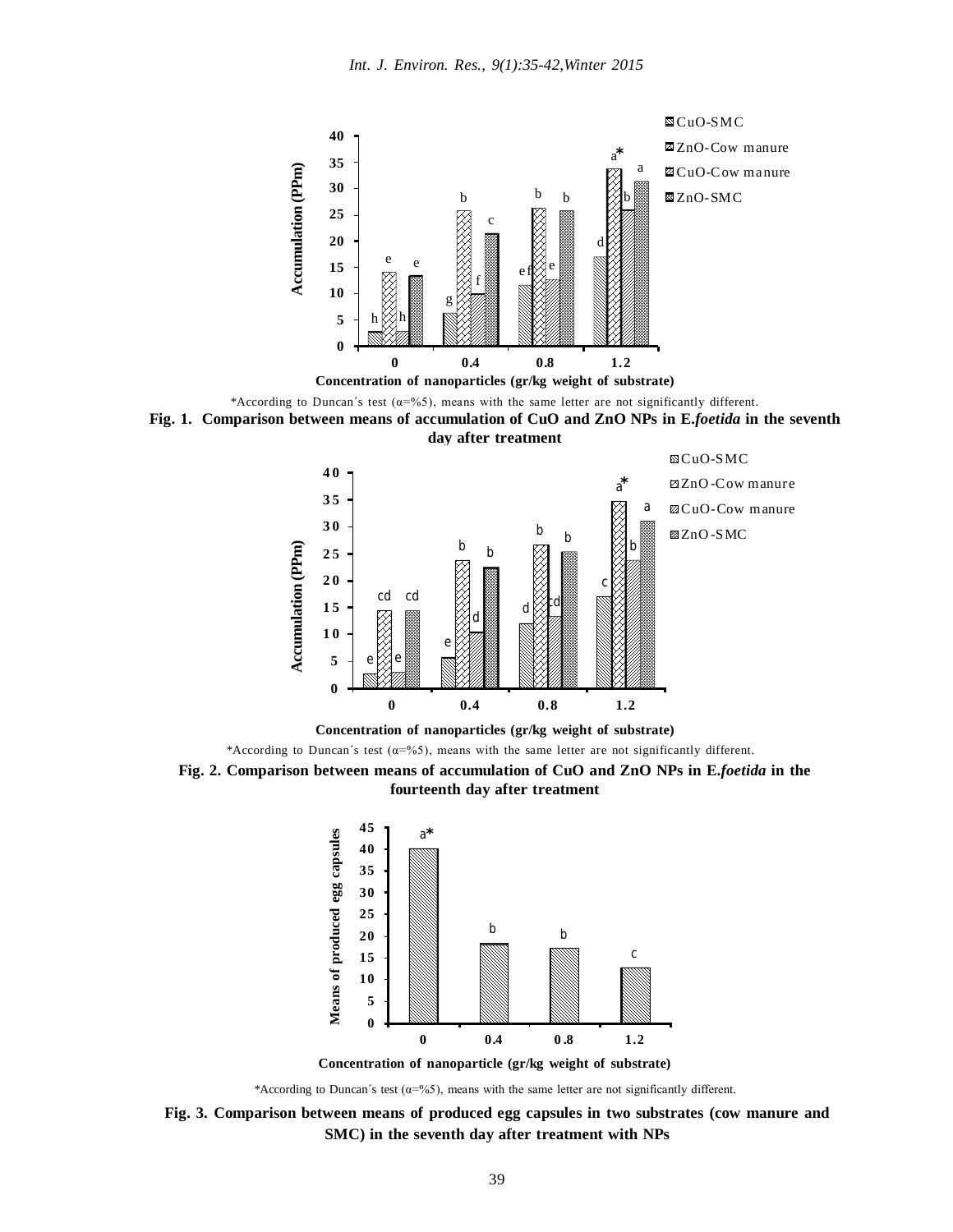

\*According to Duncan's test  $(\alpha = 965)$ , means with the same letter are not significantly different.





**Concentration of nanoparticles (gr/kg weight of substrate)**

\*According to Duncan´s test ( $\alpha = %5$ ), means with the same letter are not significantly different.





**Concentration of nanoparticle (gr/kg weight of substrate)**

\*According to Duncan´s test ( $\alpha = 965$ ), means with the same letter are not significantly different.

**Fig. 3. Comparison between means of produced egg capsules in two substrates (cow manure and SMC) in the seventh day after treatment with NPs**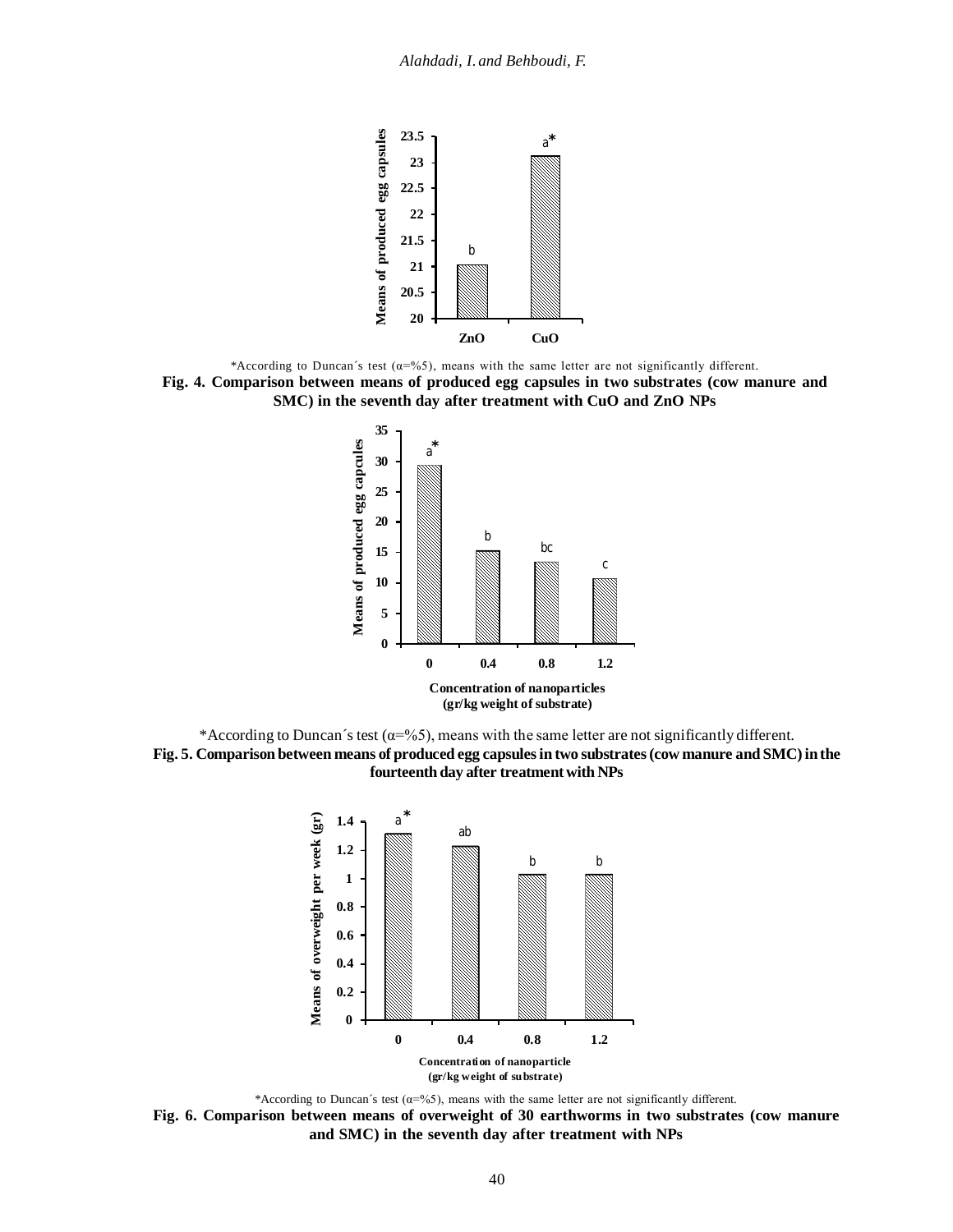

\*According to Duncan´s test ( $\alpha = %5$ ), means with the same letter are not significantly different. **Fig. 4. Comparison between means of produced egg capsules in two substrates (cow manure and SMC) in the seventh day after treatment with CuO and ZnO NPs**



\*According to Duncan's test ( $\alpha = 965$ ), means with the same letter are not significantly different. **Fig. 5. Comparison between means of produced egg capsulesin two substrates(cow manure and SMC)inthe fourteenth day after treatmentwith NPs**



\*According to Duncan's test ( $\alpha$ =%5), means with the same letter are not significantly different. **Fig. 6. Comparison between means of overweight of 30 earthworms in two substrates (cow manure and SMC) in the seventh day after treatment with NPs**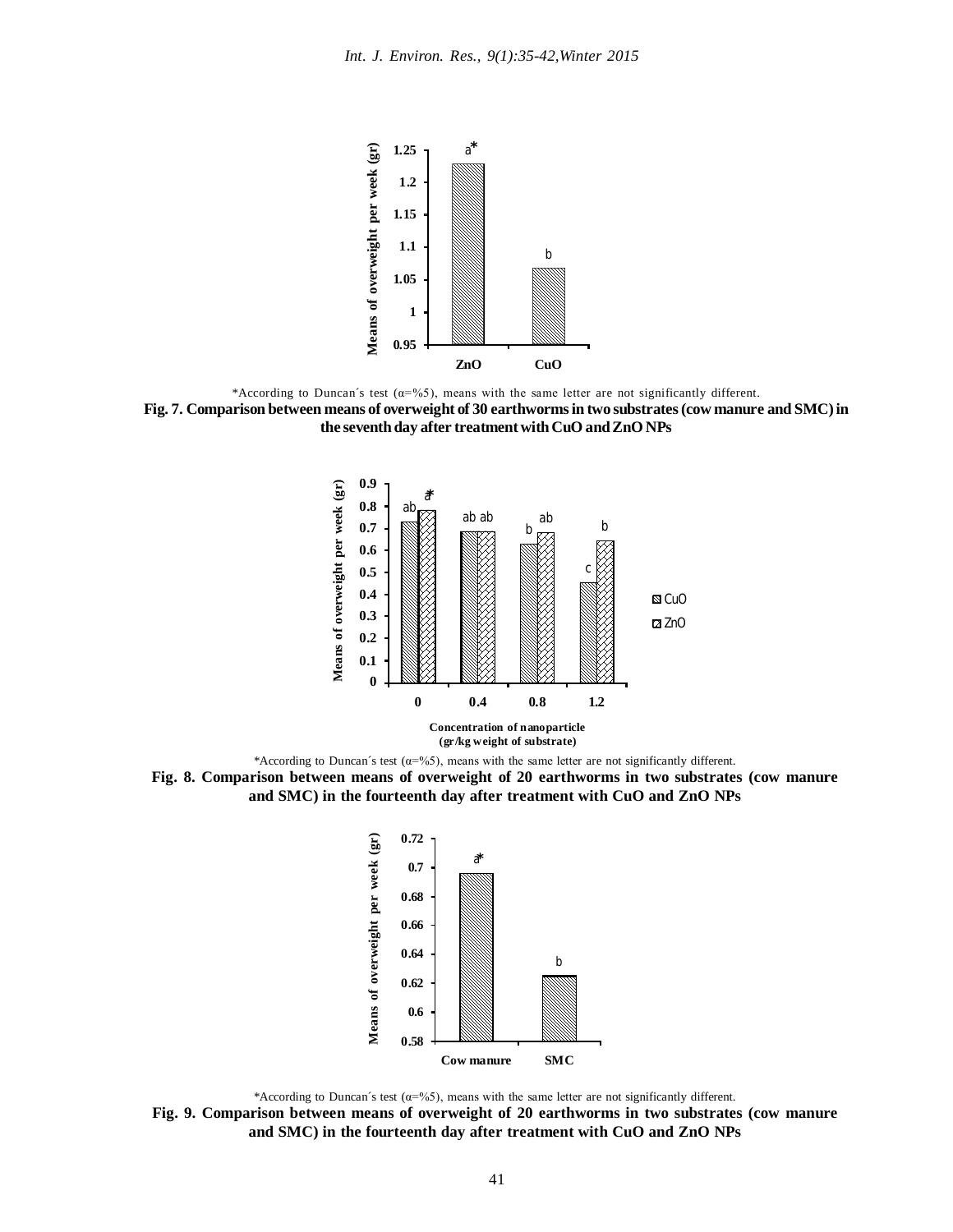

\*According to Duncan's test ( $\alpha$ =%5), means with the same letter are not significantly different.

**Fig. 7. Comparison between means of overweight of 30 earthwormsin two substrates(cow manure and SMC)in the seventhday after treatmentwithCuO andZnONPs**



\*According to Duncan's test  $(\alpha = 965)$ , means with the same letter are not significantly different.





<sup>\*</sup>According to Duncan´s test  $(\alpha = 965)$ , means with the same letter are not significantly different.

**Fig. 9. Comparison between means of overweight of 20 earthworms in two substrates (cow manure and SMC) in the fourteenth day after treatment with CuO and ZnO NPs**